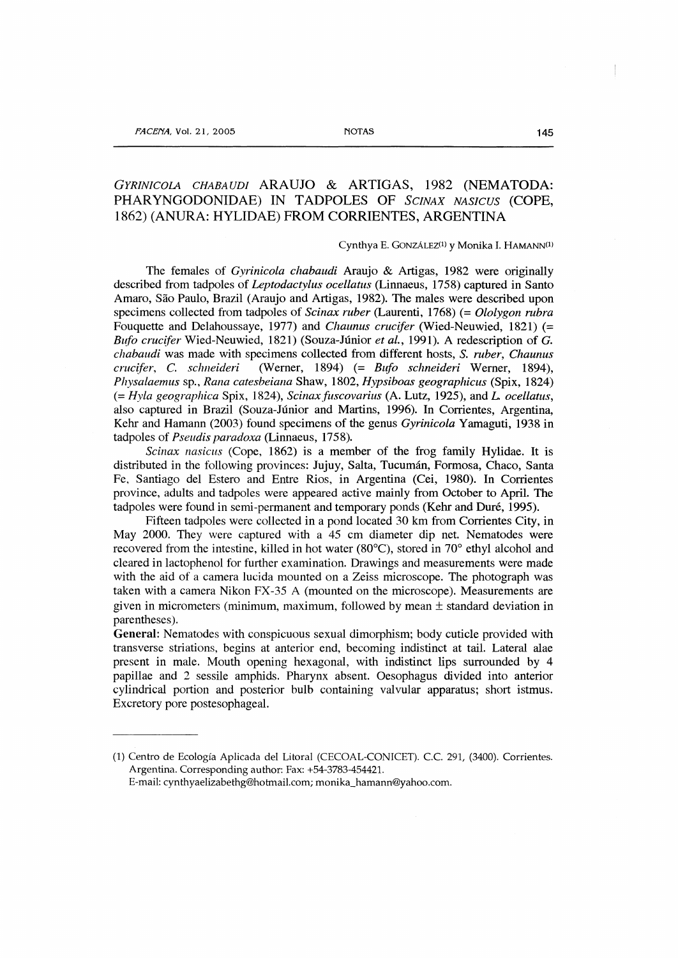# *GYRINICOIA CHABAUDI* ARAUJO & ARTIGAS, 1982 (NEMATODA: PHARYNGODONIDAE) IN TADPOLES OF *SCINAX NASICUS* (COPE, 1862) (ANURA: HYLIDAE) PROM CORRIENTES, ARGENTINA

#### Cynthya E. GONZÁLEZ<sup>(1)</sup> y Monika I. HAMANN<sup>(1)</sup>

The females of *Gyrinicola chabaudi* Arauja & Artigas, 1982 were originally dcscribed from tadpoles of *Leptodactylus ocellatus* (Linnaeus, 1758) captured in Santo Amaro, Sao Paulo, Brazil (Arauja and Artigas, 1982). The males were described upon specimens collected from tadpoles of *Scinax ruber* (Laurenti, 1768) (= *Ololygon rubra*  Fouquette and Delahoussaye, 1977) and *Chaunus crucifer* (Wied-Neuwied, 1821) (= *Bl{fo cruc{fer* Wied-Neuwied, 1821) (Souza-Júnior *et al.,* 1991). A redescription of G. *chabaudi* was made with specimens collected from different hosts, S. *ruber, Chaunus*  cruc~fer, C. *schneideri* (Werner, 1894) (= *Btifo schneideri* Werner, 1894), *Physalaemus* sp., *Rana catesbeiana* Shaw, 1802, *Hypsiboas geographicus* (Spix, 1824) (= *Hyla geographica* Spix, 1824), *Scinaxfilscovarius* (A. Lutz, 1925), and *L ocellatus,*  also captured in Brazil (Souza-Júnior and Martins, 1996). In Corrientes, Argentina, Kehr and Hamann (2003) found specimens of the genus *Gyrinicola* Yamaguti, 1938 in tadpoles of *Pseudis paradoxa* (Linnaeus, 1758).

*Scinax nasicus* (Cope, 1862) is a member of the frog family Hylidae. It is distributed in the following provinces: Jujuy, Salta, Tucumán, Formosa, Chaco, Santa Fe, Santiago del Estero and Entre Rios, in Argentina (Cei, 1980). In Corrientes province, adults and tadpoles were appeared active mainly from October to April. The tadpoles were found in semi-permanent and temporary ponds (Kehr and Duré, 1995).

Fifteen tadpoles werc collected in a pond located 30 km from Corrientes City, in May 2000. They were captured with a 45 cm diameter dip net. Nematodes were recovered from the intestine, killed in hot water (80ºC), stored in 70º ethyl alcohol and cleared in lactophenol for further examination. Drawings and measurements were made with the aid of a camera lucida mounted on a Zeiss microscope. The photograph was taken with a camera Nikon FX-35 A (mounted on the microscope). Measurements are given in micrometers (minimum, maximum, followed by mean  $\pm$  standard deviation in parentheses).

General: Nematodes with conspicuous sexual dimorphism; body cuticle provided with transverse striations, begins at anterior end, becoming indistinct at tail. Lateral alae present in male. Mouth opening hexagonal, with indistinct lips surrounded by 4 papillae and 2 sessile amphids. Pharynx absent. Oesophagus divided into anterior cylindrical portian and posterior bulb containing valvular apparatus; short istmus. Excretory pore postesophageal.

<sup>(1)</sup> Centro de Ecología Aplicada del Litoral (CECOAL-CONICET). C.C. 291, (3400). Corrientes. Argentina. Corresponding author: Fax: +54-3783-454421. E-mail: cynthyaelizabethg@hotmail.com; monika\_hamann@yahoo.com.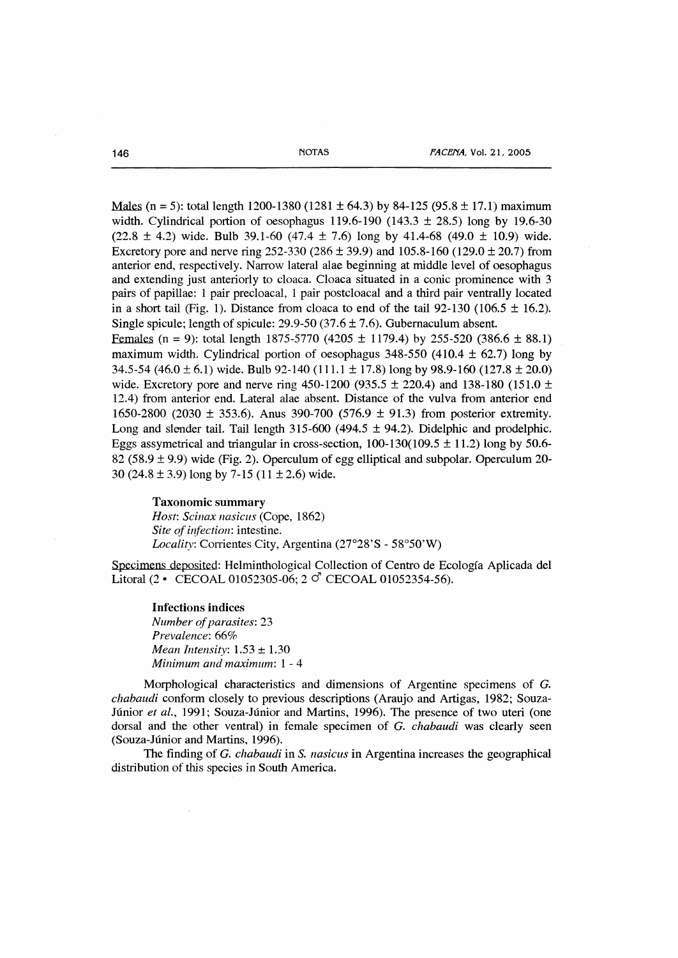Males (n = 5): total length 1200-1380 (1281  $\pm$  64.3) by 84-125 (95.8  $\pm$  17.1) maximum width. Cylindrical portion of oesophagus 119.6-190 (143.3  $\pm$  28.5) long by 19.6-30  $(22.8 \pm 4.2)$  wide. Bulb 39.1-60  $(47.4 \pm 7.6)$  long by 41.4-68  $(49.0 \pm 10.9)$  wide. Excretory pore and nerve ring  $252-330$  ( $286 \pm 39.9$ ) and  $105.8-160$  ( $129.0 \pm 20.7$ ) from anterior end, respectively. Narrow lateral alae beginning at middle level of oesophagus and extending just anteriorly to cloaca. Cloaca situated in a conic prominence with 3 pairs of papillae: 1 pair precloacal, 1 pair postcloacal and a third pair ventrally located in a short tail (Fig. 1). Distance from cloaca to end of the tail  $92-130$  (106.5  $\pm$  16.2). Single spicule; length of spicule:  $29.9-50$  (37.6  $\pm$  7.6). Gubernaculum absent.

Females (n = 9): total length 1875-5770 (4205  $\pm$  1179.4) by 255-520 (386.6  $\pm$  88.1) maximum width. Cylindrical portion of oesophagus 348-550 (410.4  $\pm$  62.7) long by 34.5-54 (46.0  $\pm$  6.1) wide. Bulb 92-140 (111.1  $\pm$  17.8) long by 98.9-160 (127.8  $\pm$  20.0) wide. Excretory pore and nerve ring 450-1200 (935.5  $\pm$  220.4) and 138-180 (151.0  $\pm$ 12.4) from anterior end. Lateral alae absent. Distance of the vulva from anterior end 1650-2800 (2030  $\pm$  353.6). Anus 390-700 (576.9  $\pm$  91.3) from posterior extremity. Long and slender tail. Tail length  $315-600$  (494.5  $\pm$  94.2). Didelphic and prodelphic. Eggs assymetrical and triangular in cross-section,  $100-130(109.5 \pm 11.2)$  long by 50.6-82 (58.9  $\pm$  9.9) wide (Fig. 2). Operculum of egg elliptical and subpolar. Operculum 20-30 (24.8  $\pm$  3.9) long by 7-15 (11  $\pm$  2.6) wide.

#### Taxonomic summary

*Host: Scinax nasicus* (Cope, 1862) *Site of infection:* intestine. *Locality:* Corrientes City, Argentina (27º28'S - 58º50'W)

Specimens deposited: Helnúnthological Collection of Centro de Ecología Aplicada del Litoral (2 • CECOAL 01052305-06; 2  $\circ$  CECOAL 01052354-56).

Infections indices *Number of parasites:* 23 *Prevalence:* 66% *Mean Intensity:* 1.53 ± 1.30 *Minimum and maximum:* 1 - 4

Morphological characteristics and dimensions of Argentine specimens of G. *chabaudi* conform closely to previous descriptions (Araujo and Artigas, 1982; Souza-Júnior *et al.,* 1991; Souza-Júnior and Martins, 1996). The presence of two uteri (one dorsal and the other ventral) in female specimen of *G. chabaudi* was clearly seen (Souza-Júnior and Martins, 1996).

The finding of *G. chabaudi* in S. *nasicus* in Argentina increases the geographical distribution of this species in South America.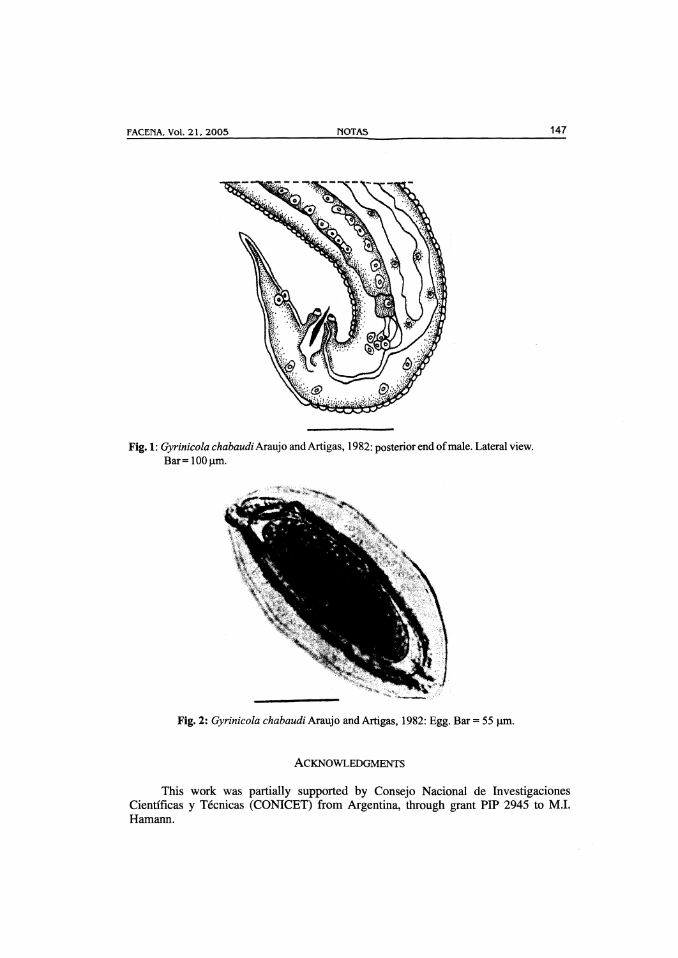

Fig. 1: *Gyrinicola chabaudi* Araujo and Artigas, 1982: posterior end of male. Lateral view.  $Bar = 100 \mu m$ .



**Fig.** 2: *Gyrinicola chabaudi* Araujo and Artigas, 1982: Egg. Bar= 55 µm.

### ACKNOWLEDGMENTS

This work was partially supported by Consejo Nacional de Investigaciones Científicas y Técnicas (CONICET) from Argentina, through grant PIP 2945 to M.I. Hamann.